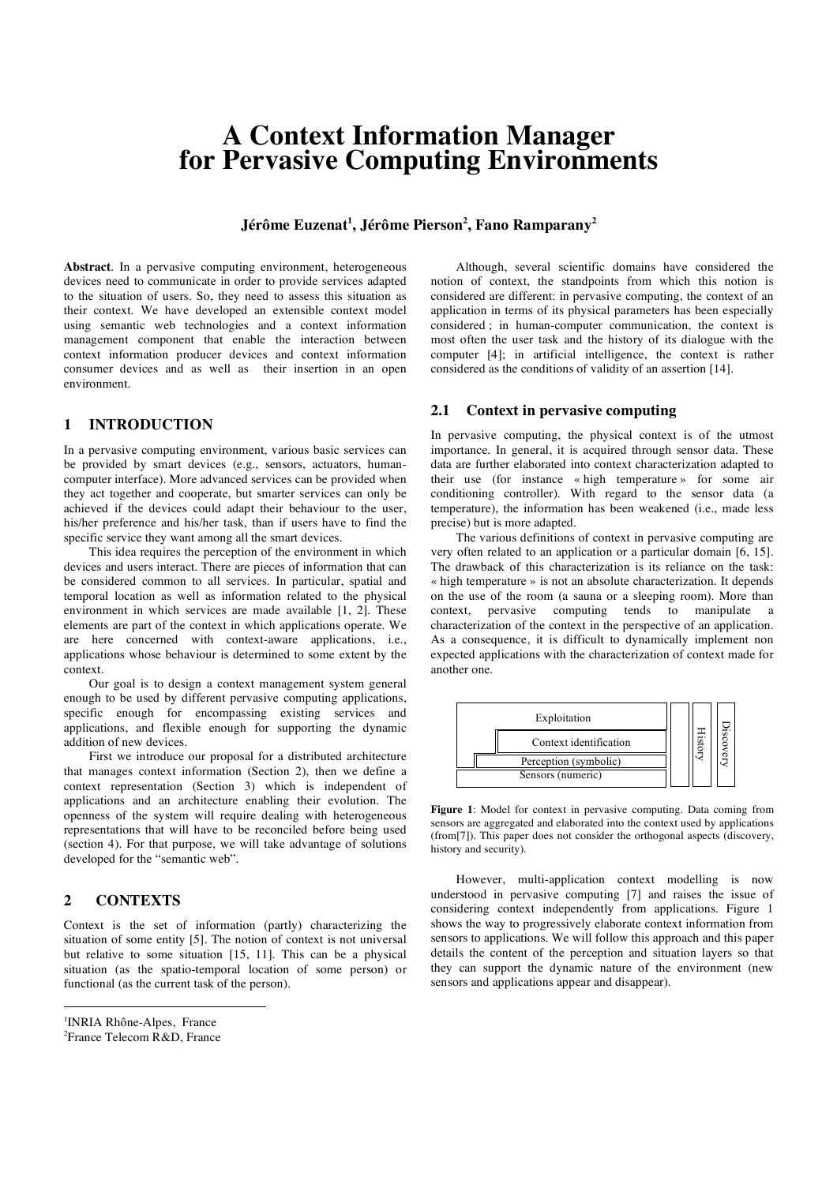# **A Context Information Manager for Pervasive Computing Environments**

**Jérôme Euzenat 1 , Jérôme Pierson2 , Fano Ramparany<sup>2</sup>**

**Abstract**. In a pervasive computing environment, heterogeneous devices need to communicate in order to provide services adapted to the situation of users. So, they need to assess this situation as their context. We have developed an extensible context model using semantic web technologies and a context information management component that enable the interaction between context information producer devices and context information consumer devices and as well as their insertion in an open environment.

#### **1 INTRODUCTION<sup>1</sup>**

In a pervasive computing environment, various basic services can be provided by smart devices (e.g., sensors, actuators, humancomputer interface). More advanced services can be provided when they act together and cooperate, but smarter services can only be achieved if the devices could adapt their behaviour to the user, his/her preference and his/her task, than if users have to find the specific service they want among all the smart devices.

This idea requires the perception of the environment in which devices and users interact. There are pieces of information that can be considered common to all services. In particular, spatial and temporal location as well as information related to the physical environment in which services are made available [1, 2]. These elements are part of the context in which applications operate. We are here concerned with context-aware applications, i.e., applications whose behaviour is determined to some extent by the context.

Our goal is to design a context management system general enough to be used by different pervasive computing applications, specific enough for encompassing existing services and applications, and flexible enough for supporting the dynamic addition of new devices.

First we introduce our proposal for a distributed architecture that manages context information (Section 2), then we define a context representation (Section 3) which is independent of applications and an architecture enabling their evolution. The openness of the system will require dealing with heterogeneous representations that will have to be reconciled before being used (section 4). For that purpose, we will take advantage of solutions developed for the "semantic web".

## **2 CONTEXTS**

 $\overline{a}$ 

Context is the set of information (partly) characterizing the situation of some entity [5]. The notion of context is not universal but relative to some situation [15, 11]. This can be a physical situation (as the spatio-temporal location of some person) or functional (as the current task of the person).

2 France Telecom R&D, France

Although, several scientific domains have considered the notion of context, the standpoints from which this notion is considered are different: in pervasive computing, the context of an application in terms of its physical parameters has been especially considered ; in human-computer communication, the context is most often the user task and the history of its dialogue with the computer [4]; in artificial intelligence, the context is rather considered as the conditions of validity of an assertion [14].

#### **2.1 Context in pervasive computing**

In pervasive computing, the physical context is of the utmost importance. In general, it is acquired through sensor data. These data are further elaborated into context characterization adapted to their use (for instance « high temperature » for some air conditioning controller). With regard to the sensor data (a temperature), the information has been weakened (i.e., made less precise) but is more adapted.

The various definitions of context in pervasive computing are very often related to an application or a particular domain [6, 15]. The drawback of this characterization is its reliance on the task: « high temperature » is not an absolute characterization. It depends on the use of the room (a sauna or a sleeping room). More than context, pervasive computing tends to manipulate a characterization of the context in the perspective of an application. As a consequence, it is difficult to dynamically implement non st expected applications with the characterization of context made for another one.



**Figure 1**: Model for context in pervasive computing. Data coming from sensors are aggregated and elaborated into the context used by applications (from[7]). This paper does not consider the orthogonal aspects (discovery, history and security).

However, multi-application context modelling is now understood in pervasive computing [7] and raises the issue of considering context independently from applications. Figure 1 shows the way to progressively elaborate context information from sensors to applications. We will follow this approach and this paper details the content of the perception and situation layers so that they can support the dynamic nature of the environment (new sensors and applications appear and disappear).

<sup>1</sup> INRIA Rhône-Alpes, France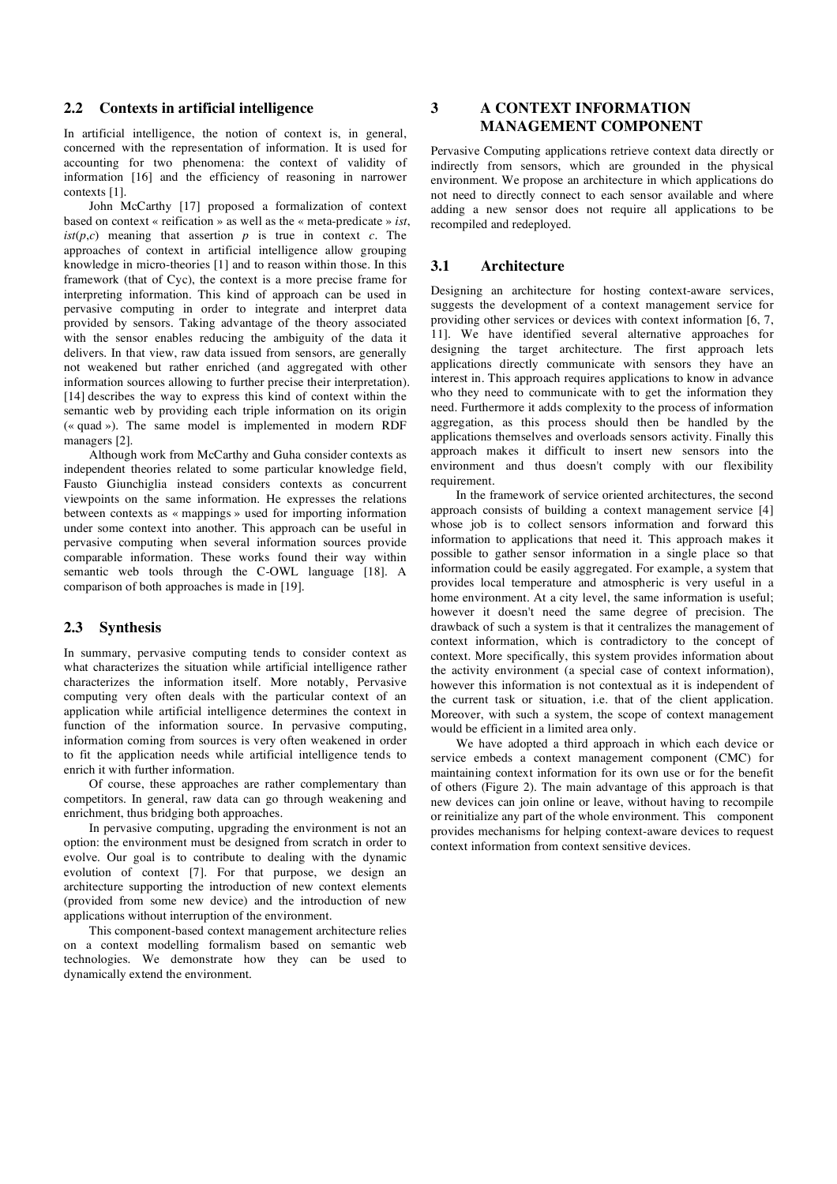#### **2.2 Contexts in artificial intelligence**

In artificial intelligence, the notion of context is, in general, concerned with the representation of information. It is used for accounting for two phenomena: the context of validity of information [16] and the efficiency of reasoning in narrower contexts [1].

John McCarthy [17] proposed a formalization of context based on context « reification » as well as the « meta-predicate » *ist*,  $ist(p, c)$  meaning that assertion *p* is true in context *c*. The approaches of context in artificial intelligence allow grouping knowledge in micro-theories [1] and to reason within those. In this framework (that of Cyc), the context is a more precise frame for interpreting information. This kind of approach can be used in pervasive computing in order to integrate and interpret data provided by sensors. Taking advantage of the theory associated with the sensor enables reducing the ambiguity of the data it delivers. In that view, raw data issued from sensors, are generally not weakened but rather enriched (and aggregated with other information sources allowing to further precise their interpretation). [14] describes the way to express this kind of context within the semantic web by providing each triple information on its origin (« quad »). The same model is implemented in modern RDF managers [2].

Although work from McCarthy and Guha consider contexts as independent theories related to some particular knowledge field, Fausto Giunchiglia instead considers contexts as concurrent viewpoints on the same information. He expresses the relations between contexts as « mappings » used for importing information under some context into another. This approach can be useful in pervasive computing when several information sources provide comparable information. These works found their way within semantic web tools through the C-OWL language [18]. A comparison of both approaches is made in [19].

#### **2.3 Synthesis**

In summary, pervasive computing tends to consider context as what characterizes the situation while artificial intelligence rather characterizes the information itself. More notably, Pervasive computing very often deals with the particular context of an application while artificial intelligence determines the context in function of the information source. In pervasive computing, information coming from sources is very often weakened in order to fit the application needs while artificial intelligence tends to enrich it with further information.

Of course, these approaches are rather complementary than competitors. In general, raw data can go through weakening and enrichment, thus bridging both approaches.

In pervasive computing, upgrading the environment is not an option: the environment must be designed from scratch in order to evolve. Our goal is to contribute to dealing with the dynamic evolution of context [7]. For that purpose, we design an architecture supporting the introduction of new context elements (provided from some new device) and the introduction of new applications without interruption of the environment.

This component-based context management architecture relies on a context modelling formalism based on semantic web technologies. We demonstrate how they can be used to dynamically extend the environment.

# **3 A CONTEXT INFORMATION MANAGEMENT COMPONENT**

Pervasive Computing applications retrieve context data directly or indirectly from sensors, which are grounded in the physical environment. We propose an architecture in which applications do not need to directly connect to each sensor available and where adding a new sensor does not require all applications to be recompiled and redeployed.

#### **3.1 Architecture**

Designing an architecture for hosting context-aware services, suggests the development of a context management service for providing other services or devices with context information [6, 7, 11]. We have identified several alternative approaches for designing the target architecture. The first approach lets applications directly communicate with sensors they have an interest in. This approach requires applications to know in advance who they need to communicate with to get the information they need. Furthermore it adds complexity to the process of information aggregation, as this process should then be handled by the applications themselves and overloads sensors activity. Finally this approach makes it difficult to insert new sensors into the environment and thus doesn't comply with our flexibility requirement.

In the framework of service oriented architectures, the second approach consists of building a context management service [4] whose job is to collect sensors information and forward this information to applications that need it. This approach makes it possible to gather sensor information in a single place so that information could be easily aggregated. For example, a system that provides local temperature and atmospheric is very useful in a home environment. At a city level, the same information is useful; however it doesn't need the same degree of precision. The drawback of such a system is that it centralizes the management of context information, which is contradictory to the concept of context. More specifically, this system provides information about the activity environment (a special case of context information), however this information is not contextual as it is independent of the current task or situation, i.e. that of the client application. Moreover, with such a system, the scope of context management would be efficient in a limited area only.

We have adopted a third approach in which each device or service embeds a context management component (CMC) for maintaining context information for its own use or for the benefit of others (Figure 2). The main advantage of this approach is that new devices can join online or leave, without having to recompile or reinitialize any part of the whole environment. This component provides mechanisms for helping context-aware devices to request context information from context sensitive devices.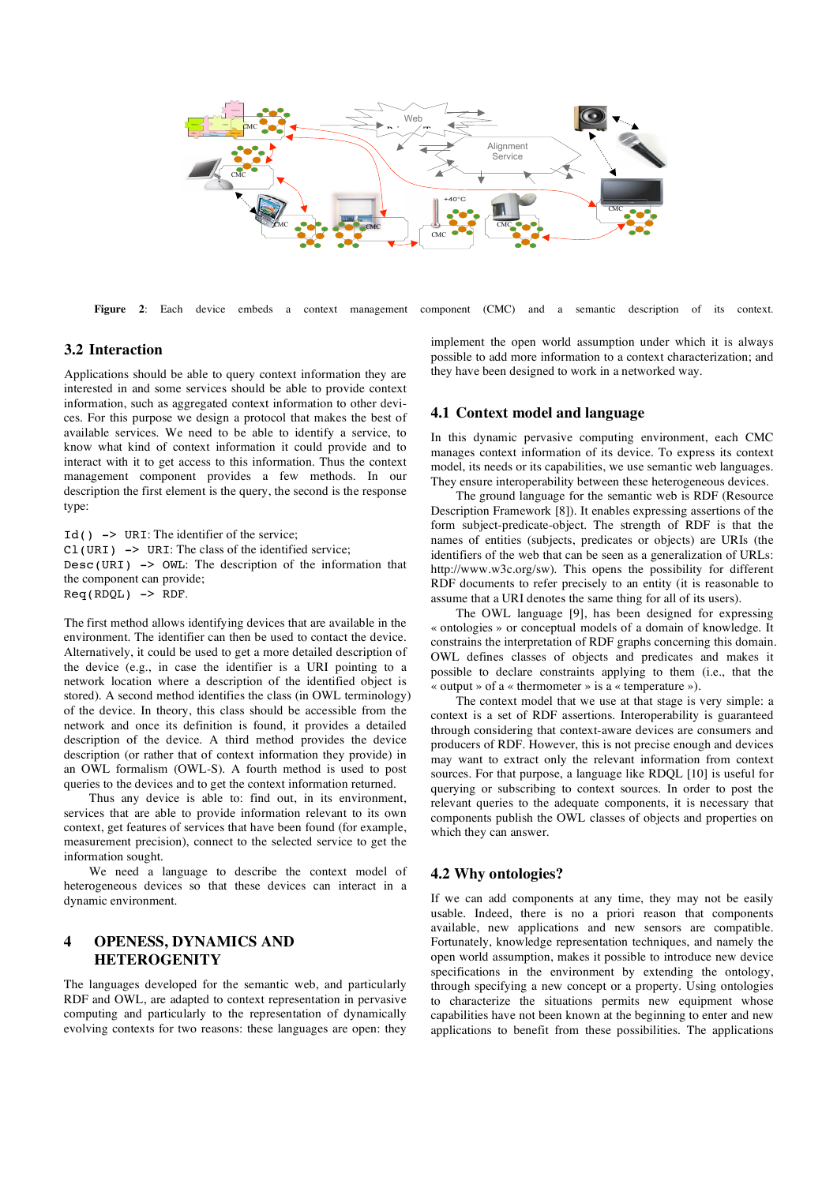

**Figure 2**: Each device embeds a context management component (CMC) and a semantic description of its context.

#### **3.2 Interaction**

Applications should be able to query context information they are interested in and some services should be able to provide context information, such as aggregated context information to other devices. For this purpose we design a protocol that makes the best of available services. We need to be able to identify a service, to know what kind of context information it could provide and to interact with it to get access to this information. Thus the context management component provides a few methods. In our description the first element is the query, the second is the response type:

Id() -> URI: The identifier of the service;  $CL$ (URI)  $\rightarrow$  URI: The class of the identified service: Desc(URI)  $\rightarrow$  OWL: The description of the information that the component can provide;  $Req(RDQL)$  -> RDF.

The first method allows identifying devices that are available in the environment. The identifier can then be used to contact the device. Alternatively, it could be used to get a more detailed description of the device (e.g., in case the identifier is a URI pointing to a network location where a description of the identified object is stored). A second method identifies the class (in OWL terminology) of the device. In theory, this class should be accessible from the network and once its definition is found, it provides a detailed description of the device. A third method provides the device description (or rather that of context information they provide) in an OWL formalism (OWL-S). A fourth method is used to post queries to the devices and to get the context information returned.

Thus any device is able to: find out, in its environment, services that are able to provide information relevant to its own context, get features of services that have been found (for example, measurement precision), connect to the selected service to get the information sought.

We need a language to describe the context model of heterogeneous devices so that these devices can interact in a dynamic environment.

### **4 OPENESS, DYNAMICS AND HETEROGENITY**

The languages developed for the semantic web, and particularly RDF and OWL, are adapted to context representation in pervasive computing and particularly to the representation of dynamically evolving contexts for two reasons: these languages are open: they implement the open world assumption under which it is always possible to add more information to a context characterization; and they have been designed to work in a networked way.

#### **4.1 Context model and language**

In this dynamic pervasive computing environment, each CMC manages context information of its device. To express its context model, its needs or its capabilities, we use semantic web languages. They ensure interoperability between these heterogeneous devices.

The ground language for the semantic web is RDF (Resource Description Framework [8]). It enables expressing assertions of the form subject-predicate-object. The strength of RDF is that the names of entities (subjects, predicates or objects) are URIs (the identifiers of the web that can be seen as a generalization of URLs: http://www.w3c.org/sw). This opens the possibility for different RDF documents to refer precisely to an entity (it is reasonable to assume that a URI denotes the same thing for all of its users).

The OWL language [9], has been designed for expressing « ontologies » or conceptual models of a domain of knowledge. It constrains the interpretation of RDF graphs concerning this domain. OWL defines classes of objects and predicates and makes it possible to declare constraints applying to them (i.e., that the « output » of a « thermometer » is a « temperature »).

The context model that we use at that stage is very simple: a context is a set of RDF assertions. Interoperability is guaranteed through considering that context-aware devices are consumers and producers of RDF. However, this is not precise enough and devices may want to extract only the relevant information from context sources. For that purpose, a language like RDQL [10] is useful for querying or subscribing to context sources. In order to post the relevant queries to the adequate components, it is necessary that components publish the OWL classes of objects and properties on which they can answer.

#### **4.2 Why ontologies?**

If we can add components at any time, they may not be easily usable. Indeed, there is no a priori reason that components available, new applications and new sensors are compatible. Fortunately, knowledge representation techniques, and namely the open world assumption, makes it possible to introduce new device specifications in the environment by extending the ontology, through specifying a new concept or a property. Using ontologies to characterize the situations permits new equipment whose capabilities have not been known at the beginning to enter and new applications to benefit from these possibilities. The applications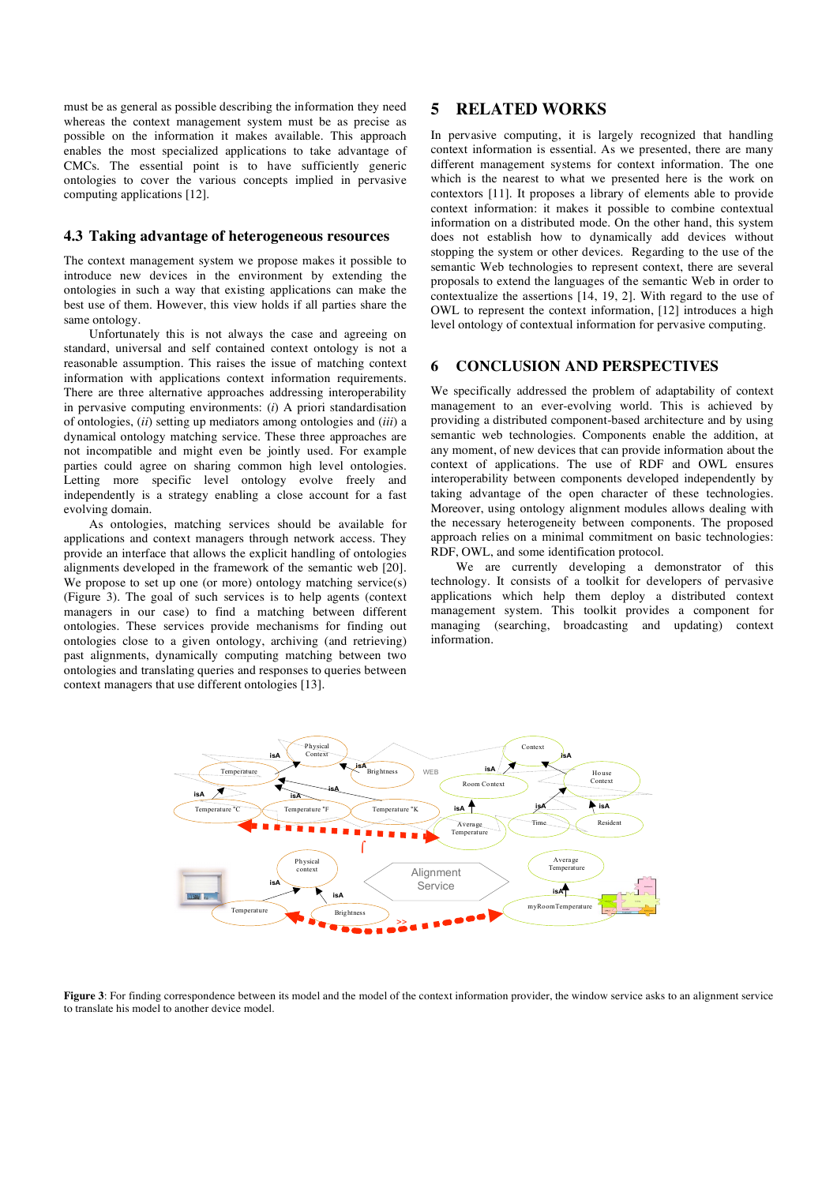must be as general as possible describing the information they need whereas the context management system must be as precise as possible on the information it makes available. This approach enables the most specialized applications to take advantage of CMCs. The essential point is to have sufficiently generic ontologies to cover the various concepts implied in pervasive computing applications [12].

#### **4.3 Taking advantage of heterogeneous resources**

The context management system we propose makes it possible to introduce new devices in the environment by extending the ontologies in such a way that existing applications can make the best use of them. However, this view holds if all parties share the same ontology.

Unfortunately this is not always the case and agreeing on standard, universal and self contained context ontology is not a reasonable assumption. This raises the issue of matching context information with applications context information requirements. There are three alternative approaches addressing interoperability in pervasive computing environments: (*i*) A priori standardisation of ontologies, (*ii*) setting up mediators among ontologies and (*iii*) a dynamical ontology matching service. These three approaches are not incompatible and might even be jointly used. For example parties could agree on sharing common high level ontologies. Letting more specific level ontology evolve freely and independently is a strategy enabling a close account for a fast evolving domain.

As ontologies, matching services should be available for applications and context managers through network access. They provide an interface that allows the explicit handling of ontologies alignments developed in the framework of the semantic web [20]. We propose to set up one (or more) ontology matching service(s) (Figure 3). The goal of such services is to help agents (context managers in our case) to find a matching between different ontologies. These services provide mechanisms for finding out ontologies close to a given ontology, archiving (and retrieving) past alignments, dynamically computing matching between two ontologies and translating queries and responses to queries between context managers that use different ontologies [13].

# **5 RELATED WORKS**

In pervasive computing, it is largely recognized that handling context information is essential. As we presented, there are many different management systems for context information. The one which is the nearest to what we presented here is the work on contextors [11]. It proposes a library of elements able to provide context information: it makes it possible to combine contextual information on a distributed mode. On the other hand, this system does not establish how to dynamically add devices without stopping the system or other devices. Regarding to the use of the semantic Web technologies to represent context, there are several proposals to extend the languages of the semantic Web in order to contextualize the assertions [14, 19, 2]. With regard to the use of OWL to represent the context information, [12] introduces a high level ontology of contextual information for pervasive computing.

### **6 CONCLUSION AND PERSPECTIVES**

We specifically addressed the problem of adaptability of context management to an ever-evolving world. This is achieved by providing a distributed component-based architecture and by using semantic web technologies. Components enable the addition, at any moment, of new devices that can provide information about the context of applications. The use of RDF and OWL ensures interoperability between components developed independently by taking advantage of the open character of these technologies. Moreover, using ontology alignment modules allows dealing with the necessary heterogeneity between components. The proposed approach relies on a minimal commitment on basic technologies: RDF, OWL, and some identification protocol.

We are currently developing a demonstrator of this technology. It consists of a toolkit for developers of pervasive applications which help them deploy a distributed context management system. This toolkit provides a component for managing (searching, broadcasting and updating) context information.



**Figure 3**: For finding correspondence between its model and the model of the context information provider, the window service asks to an alignment service to translate his model to another device model.